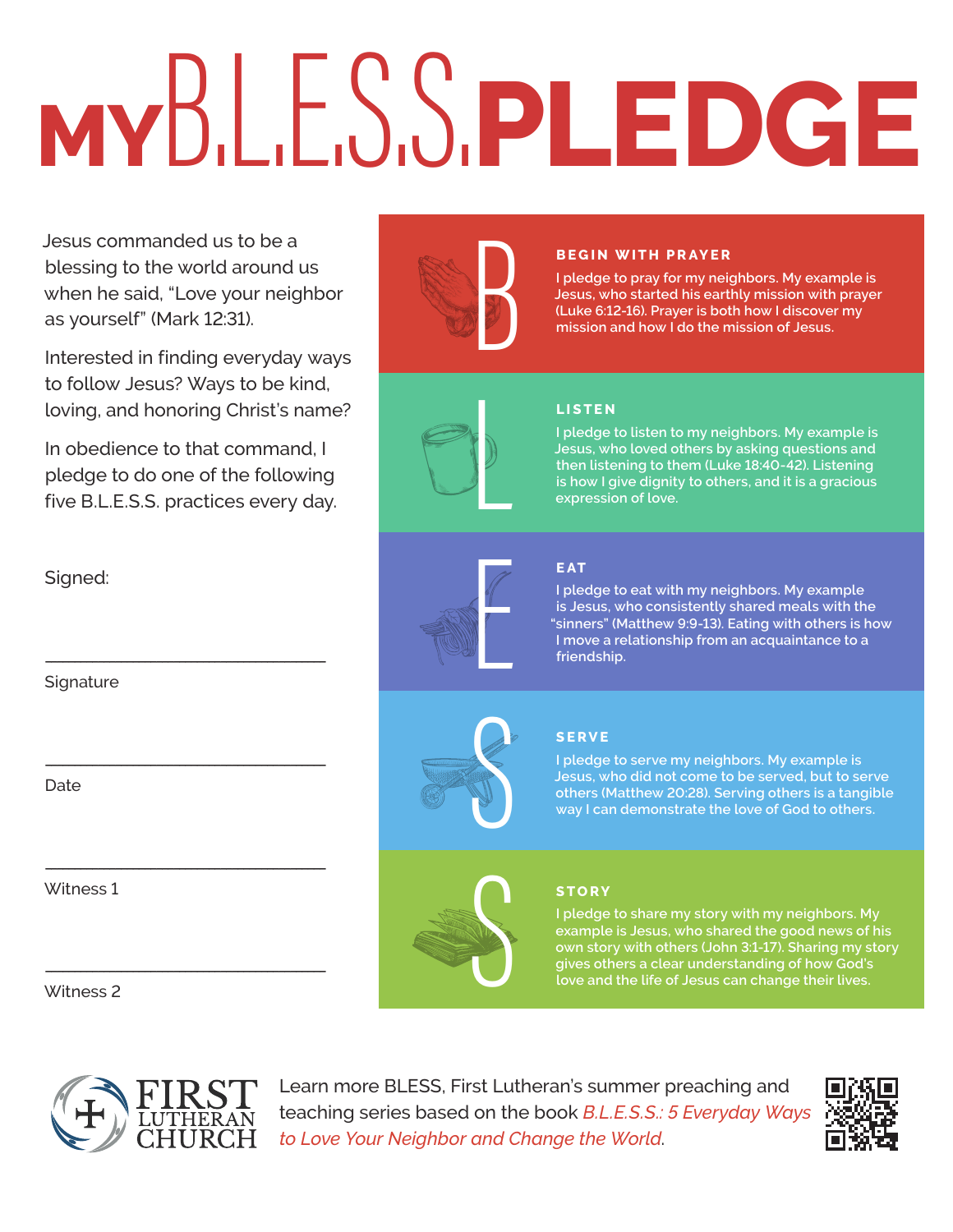# **MY**B.L.E.S.S.**PLEDGE**

Jesus commanded us to be a blessing to the world around us when he said, "Love your neighbor as yourself" (Mark 12:31).

Interested in finding everyday ways to follow Jesus? Ways to be kind, loving, and honoring Christ's name?

In obedience to that command, I pledge to do one of the following five B.L.E.S.S. practices every day.

Signed:

**Signature** 

Date

Witness 1

Witness 2



**I pledge to serve my neighbors. My example is Jesus, who did not come to be served, but to serve others (Matthew 20:28). Serving others is a tangible way I can demonstrate the love of God to others.**

# S<br>S

### **STORY**

**I pledge to share my story with my neighbors. My example is Jesus, who shared the good news of his own story with others (John 3:1-17). Sharing my story gives others a clear understanding of how God's love and the life of Jesus can change their lives.**



\_\_\_\_\_\_\_\_\_\_\_\_\_\_\_\_\_\_\_\_\_\_\_\_\_\_\_\_\_\_\_\_\_\_\_\_\_\_\_\_\_\_\_\_\_\_\_\_

\_\_\_\_\_\_\_\_\_\_\_\_\_\_\_\_\_\_\_\_\_\_\_\_\_\_\_\_\_\_\_\_\_\_\_\_\_\_\_\_\_\_\_\_\_\_\_\_

Learn more BLESS, First Lutheran's summer preaching and teaching series based on the book *B.L.E.S.S.: 5 Everyday Ways to Love Your Neighbor and Change the World*.